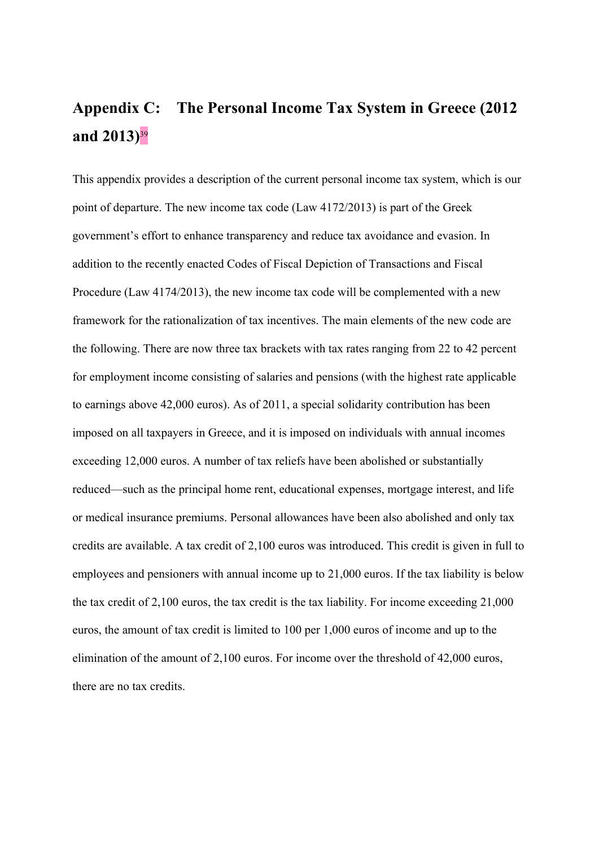# **Appendix C: The Personal Income Tax System in Greece (2012 and 2013)**<sup>39</sup>

This appendix provides a description of the current personal income tax system, which is our point of departure. The new income tax code (Law 4172/2013) is part of the Greek government's effort to enhance transparency and reduce tax avoidance and evasion. In addition to the recently enacted Codes of Fiscal Depiction of Transactions and Fiscal Procedure (Law 4174/2013), the new income tax code will be complemented with a new framework for the rationalization of tax incentives. The main elements of the new code are the following. There are now three tax brackets with tax rates ranging from 22 to 42 percent for employment income consisting of salaries and pensions (with the highest rate applicable to earnings above 42,000 euros). As of 2011, a special solidarity contribution has been imposed on all taxpayers in Greece, and it is imposed on individuals with annual incomes exceeding 12,000 euros. A number of tax reliefs have been abolished or substantially reduced—such as the principal home rent, educational expenses, mortgage interest, and life or medical insurance premiums. Personal allowances have been also abolished and only tax credits are available. A tax credit of 2,100 euros was introduced. This credit is given in full to employees and pensioners with annual income up to 21,000 euros. If the tax liability is below the tax credit of 2,100 euros, the tax credit is the tax liability. For income exceeding 21,000 euros, the amount of tax credit is limited to 100 per 1,000 euros of income and up to the elimination of the amount of 2,100 euros. For income over the threshold of 42,000 euros, there are no tax credits.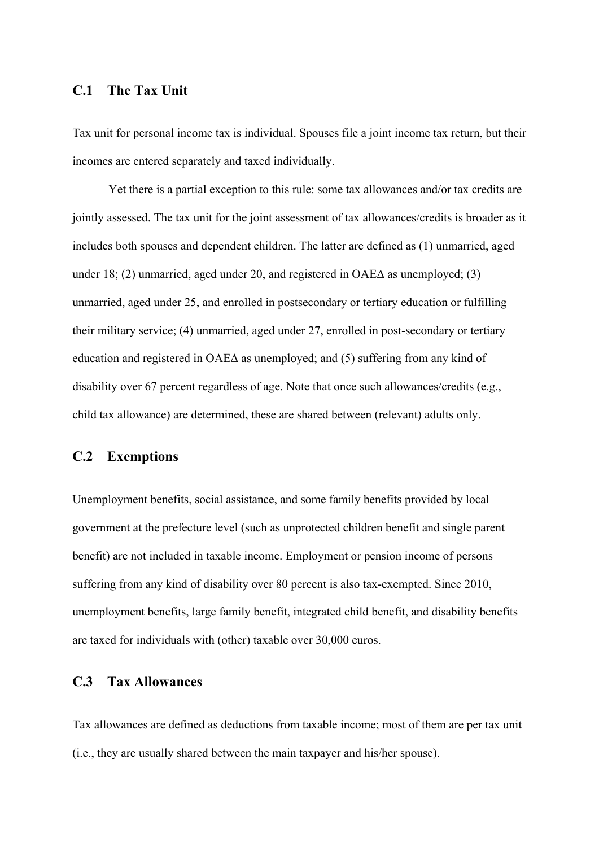## **C.1 The Tax Unit**

Tax unit for personal income tax is individual. Spouses file a joint income tax return, but their incomes are entered separately and taxed individually.

Yet there is a partial exception to this rule: some tax allowances and/or tax credits are jointly assessed. The tax unit for the joint assessment of tax allowances/credits is broader as it includes both spouses and dependent children. The latter are defined as (1) unmarried, aged under 18; (2) unmarried, aged under 20, and registered in  $OAE\Delta$  as unemployed; (3) unmarried, aged under 25, and enrolled in postsecondary or tertiary education or fulfilling their military service; (4) unmarried, aged under 27, enrolled in post-secondary or tertiary education and registered in ΟΑΕΔ as unemployed; and (5) suffering from any kind of disability over 67 percent regardless of age. Note that once such allowances/credits (e.g., child tax allowance) are determined, these are shared between (relevant) adults only.

## **C.2 Exemptions**

Unemployment benefits, social assistance, and some family benefits provided by local government at the prefecture level (such as unprotected children benefit and single parent benefit) are not included in taxable income. Employment or pension income of persons suffering from any kind of disability over 80 percent is also tax-exempted. Since 2010, unemployment benefits, large family benefit, integrated child benefit, and disability benefits are taxed for individuals with (other) taxable over 30,000 euros.

## **C.3 Tax Allowances**

Tax allowances are defined as deductions from taxable income; most of them are per tax unit (i.e., they are usually shared between the main taxpayer and his/her spouse).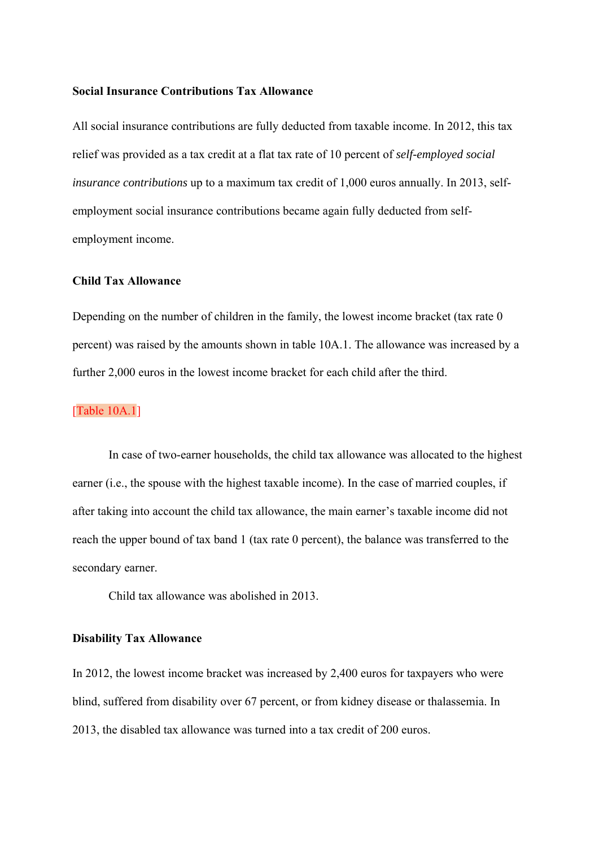#### **Social Insurance Contributions Tax Allowance**

All social insurance contributions are fully deducted from taxable income. In 2012, this tax relief was provided as a tax credit at a flat tax rate of 10 percent of *self-employed social insurance contributions* up to a maximum tax credit of 1,000 euros annually. In 2013, selfemployment social insurance contributions became again fully deducted from selfemployment income.

## **Child Tax Allowance**

Depending on the number of children in the family, the lowest income bracket (tax rate 0) percent) was raised by the amounts shown in table 10A.1. The allowance was increased by a further 2,000 euros in the lowest income bracket for each child after the third.

#### [Table 10A.1]

In case of two-earner households, the child tax allowance was allocated to the highest earner (i.e., the spouse with the highest taxable income). In the case of married couples, if after taking into account the child tax allowance, the main earner's taxable income did not reach the upper bound of tax band 1 (tax rate 0 percent), the balance was transferred to the secondary earner.

Child tax allowance was abolished in 2013.

#### **Disability Tax Allowance**

In 2012, the lowest income bracket was increased by 2,400 euros for taxpayers who were blind, suffered from disability over 67 percent, or from kidney disease or thalassemia. In 2013, the disabled tax allowance was turned into a tax credit of 200 euros.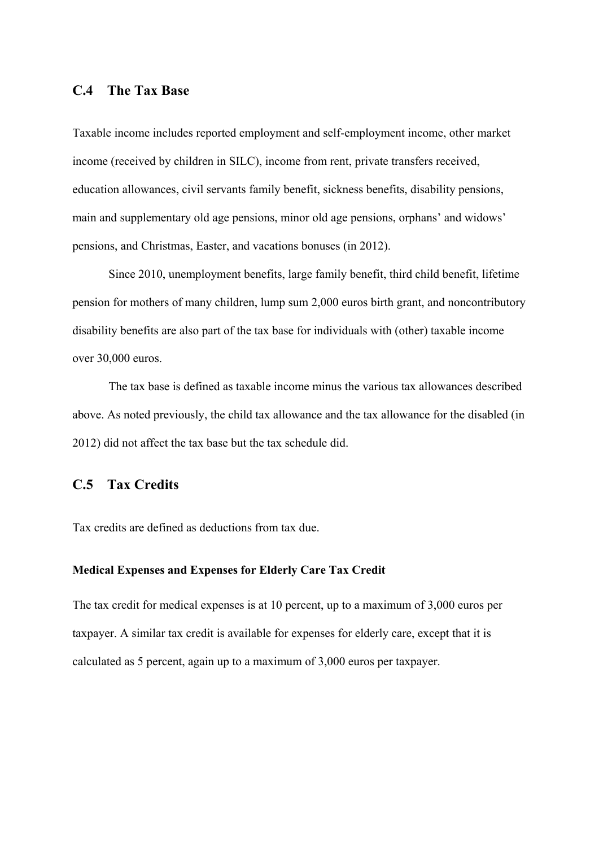## **C.4 The Tax Base**

Taxable income includes reported employment and self-employment income, other market income (received by children in SILC), income from rent, private transfers received, education allowances, civil servants family benefit, sickness benefits, disability pensions, main and supplementary old age pensions, minor old age pensions, orphans' and widows' pensions, and Christmas, Easter, and vacations bonuses (in 2012).

Since 2010, unemployment benefits, large family benefit, third child benefit, lifetime pension for mothers of many children, lump sum 2,000 euros birth grant, and noncontributory disability benefits are also part of the tax base for individuals with (other) taxable income over 30,000 euros.

The tax base is defined as taxable income minus the various tax allowances described above. As noted previously, the child tax allowance and the tax allowance for the disabled (in 2012) did not affect the tax base but the tax schedule did.

## **C.5 Tax Credits**

Tax credits are defined as deductions from tax due.

## **Medical Expenses and Expenses for Elderly Care Tax Credit**

The tax credit for medical expenses is at 10 percent, up to a maximum of 3,000 euros per taxpayer. A similar tax credit is available for expenses for elderly care, except that it is calculated as 5 percent, again up to a maximum of 3,000 euros per taxpayer.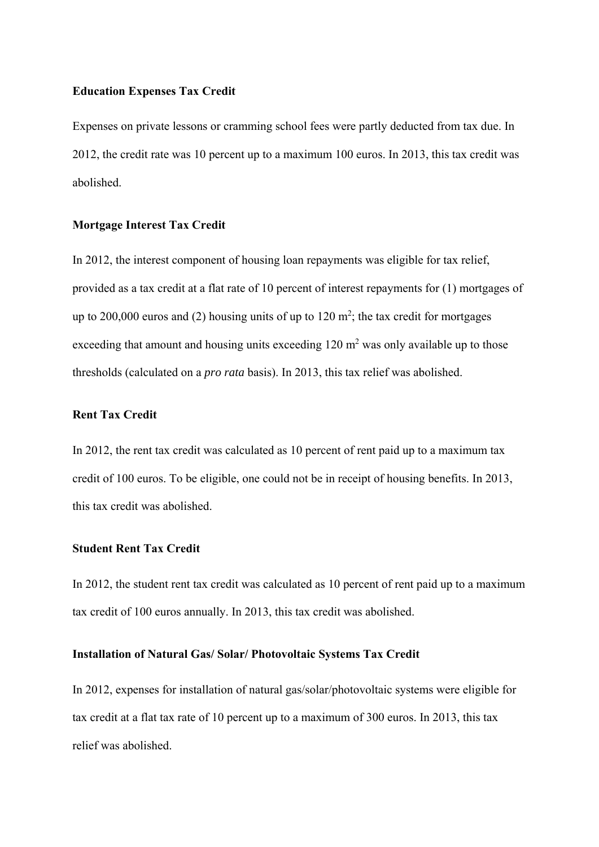#### **Education Expenses Tax Credit**

Expenses on private lessons or cramming school fees were partly deducted from tax due. In 2012, the credit rate was 10 percent up to a maximum 100 euros. In 2013, this tax credit was abolished.

#### **Mortgage Interest Tax Credit**

In 2012, the interest component of housing loan repayments was eligible for tax relief, provided as a tax credit at a flat rate of 10 percent of interest repayments for (1) mortgages of up to 200,000 euros and (2) housing units of up to  $120 \text{ m}^2$ ; the tax credit for mortgages exceeding that amount and housing units exceeding  $120 \text{ m}^2$  was only available up to those thresholds (calculated on a *pro rata* basis). In 2013, this tax relief was abolished.

## **Rent Tax Credit**

In 2012, the rent tax credit was calculated as 10 percent of rent paid up to a maximum tax credit of 100 euros. To be eligible, one could not be in receipt of housing benefits. In 2013, this tax credit was abolished.

## **Student Rent Tax Credit**

In 2012, the student rent tax credit was calculated as 10 percent of rent paid up to a maximum tax credit of 100 euros annually. In 2013, this tax credit was abolished.

#### **Installation of Natural Gas/ Solar/ Photovoltaic Systems Tax Credit**

In 2012, expenses for installation of natural gas/solar/photovoltaic systems were eligible for tax credit at a flat tax rate of 10 percent up to a maximum of 300 euros. In 2013, this tax relief was abolished.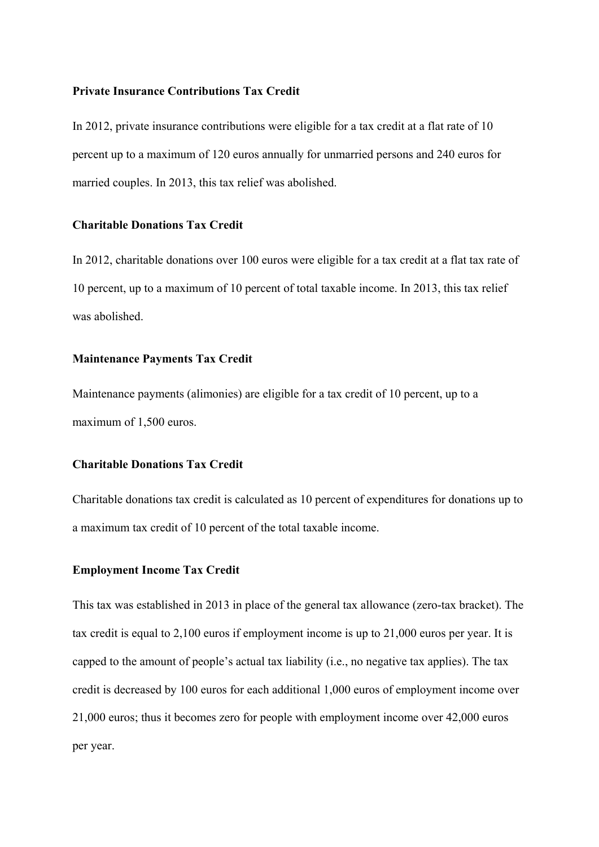#### **Private Insurance Contributions Tax Credit**

In 2012, private insurance contributions were eligible for a tax credit at a flat rate of 10 percent up to a maximum of 120 euros annually for unmarried persons and 240 euros for married couples. In 2013, this tax relief was abolished.

#### **Charitable Donations Tax Credit**

In 2012, charitable donations over 100 euros were eligible for a tax credit at a flat tax rate of 10 percent, up to a maximum of 10 percent of total taxable income. In 2013, this tax relief was abolished.

## **Maintenance Payments Tax Credit**

Maintenance payments (alimonies) are eligible for a tax credit of 10 percent, up to a maximum of 1,500 euros.

## **Charitable Donations Tax Credit**

Charitable donations tax credit is calculated as 10 percent of expenditures for donations up to a maximum tax credit of 10 percent of the total taxable income.

## **Employment Income Tax Credit**

This tax was established in 2013 in place of the general tax allowance (zero-tax bracket). The tax credit is equal to 2,100 euros if employment income is up to 21,000 euros per year. It is capped to the amount of people's actual tax liability (i.e., no negative tax applies). The tax credit is decreased by 100 euros for each additional 1,000 euros of employment income over 21,000 euros; thus it becomes zero for people with employment income over 42,000 euros per year.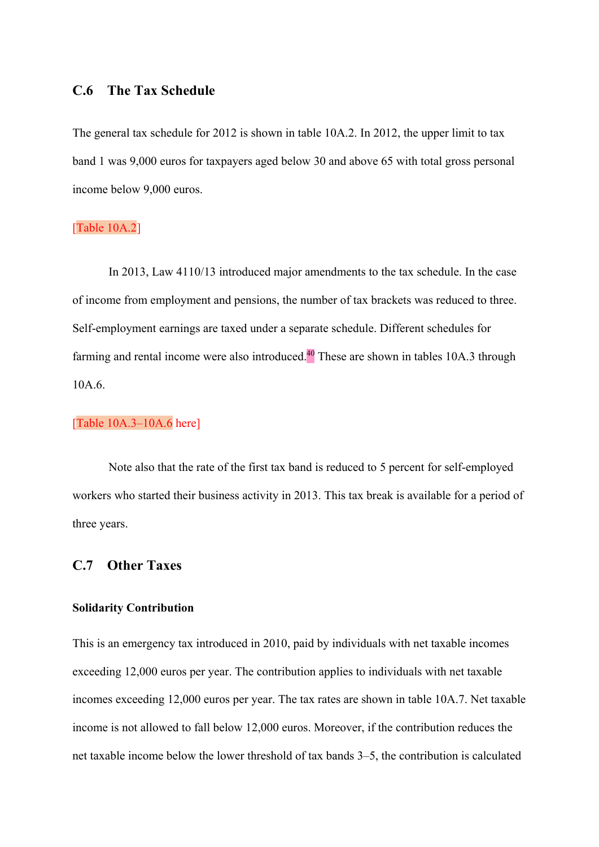## **C.6 The Tax Schedule**

The general tax schedule for 2012 is shown in table 10A.2. In 2012, the upper limit to tax band 1 was 9,000 euros for taxpayers aged below 30 and above 65 with total gross personal income below 9,000 euros.

## [Table 10A.2]

In 2013, Law 4110/13 introduced major amendments to the tax schedule. In the case of income from employment and pensions, the number of tax brackets was reduced to three. Self-employment earnings are taxed under a separate schedule. Different schedules for farming and rental income were also introduced.<sup>40</sup> These are shown in tables 10A.3 through 10A.6.

## [Table 10A.3-10A.6 here]

Note also that the rate of the first tax band is reduced to 5 percent for self-employed workers who started their business activity in 2013. This tax break is available for a period of three years.

## **C.7 Other Taxes**

#### **Solidarity Contribution**

This is an emergency tax introduced in 2010, paid by individuals with net taxable incomes exceeding 12,000 euros per year. The contribution applies to individuals with net taxable incomes exceeding 12,000 euros per year. The tax rates are shown in table 10A.7. Net taxable income is not allowed to fall below 12,000 euros. Moreover, if the contribution reduces the net taxable income below the lower threshold of tax bands 3–5, the contribution is calculated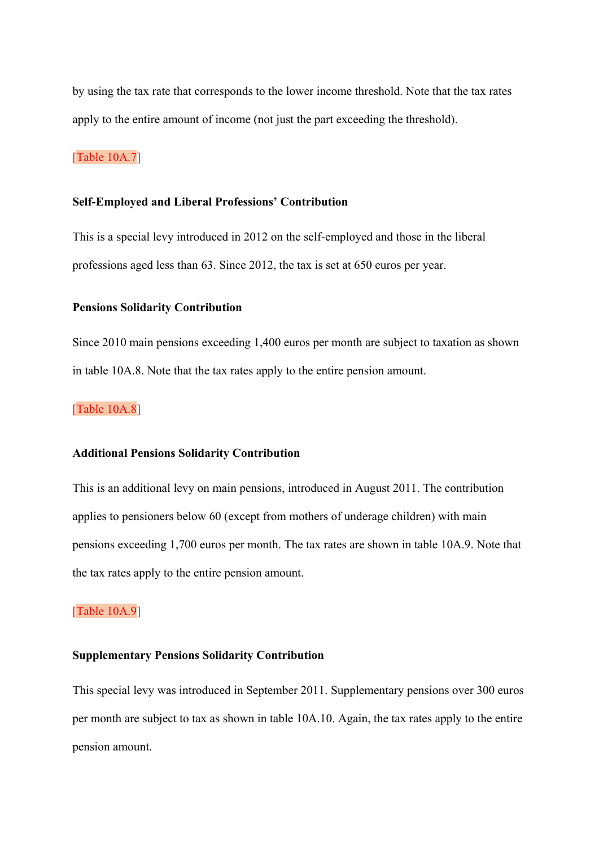by using the tax rate that corresponds to the lower income threshold. Note that the tax rates apply to the entire amount of income (not just the part exceeding the threshold).

## [Table 10A.7]

#### **Self-Employed and Liberal Professions' Contribution**

This is a special levy introduced in 2012 on the self-employed and those in the liberal professions aged less than 63. Since 2012, the tax is set at 650 euros per year.

#### **Pensions Solidarity Contribution**

Since 2010 main pensions exceeding 1,400 euros per month are subject to taxation as shown in table 10A.8. Note that the tax rates apply to the entire pension amount.

## [Table 10A.8]

#### **Additional Pensions Solidarity Contribution**

This is an additional levy on main pensions, introduced in August 2011. The contribution applies to pensioners below 60 (except from mothers of underage children) with main pensions exceeding 1,700 euros per month. The tax rates are shown in table 10A.9. Note that the tax rates apply to the entire pension amount.

## [Table 10A.9]

#### **Supplementary Pensions Solidarity Contribution**

This special levy was introduced in September 2011. Supplementary pensions over 300 euros per month are subject to tax as shown in table 10A.10. Again, the tax rates apply to the entire pension amount.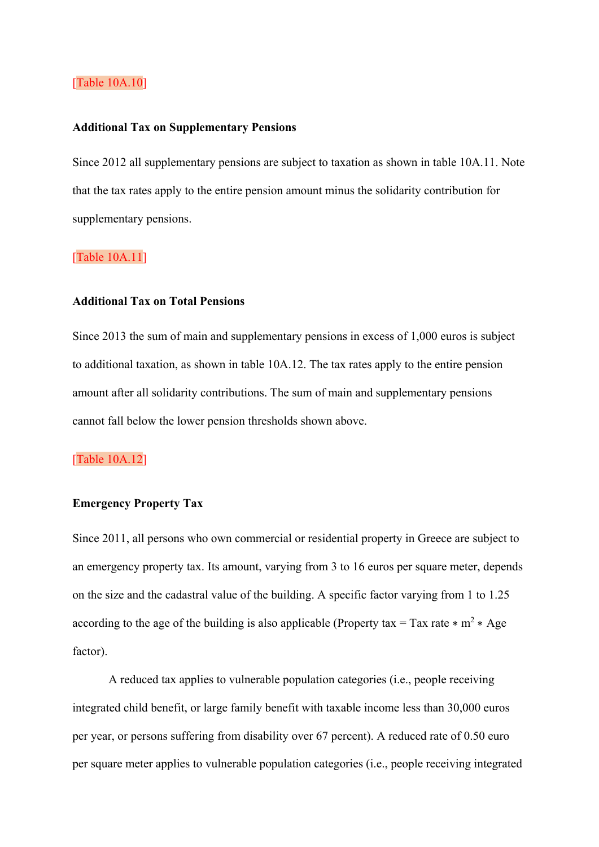## [Table 10A.10]

#### **Additional Tax on Supplementary Pensions**

Since 2012 all supplementary pensions are subject to taxation as shown in table 10A.11. Note that the tax rates apply to the entire pension amount minus the solidarity contribution for supplementary pensions.

## [Table 10A.11]

#### **Additional Tax on Total Pensions**

Since 2013 the sum of main and supplementary pensions in excess of 1,000 euros is subject to additional taxation, as shown in table 10A.12. The tax rates apply to the entire pension amount after all solidarity contributions. The sum of main and supplementary pensions cannot fall below the lower pension thresholds shown above.

## [Table 10A.12]

## **Emergency Property Tax**

Since 2011, all persons who own commercial or residential property in Greece are subject to an emergency property tax. Its amount, varying from 3 to 16 euros per square meter, depends on the size and the cadastral value of the building. A specific factor varying from 1 to 1.25 according to the age of the building is also applicable (Property tax = Tax rate  $* m^2 * Age$ factor).

A reduced tax applies to vulnerable population categories (i.e., people receiving integrated child benefit, or large family benefit with taxable income less than 30,000 euros per year, or persons suffering from disability over 67 percent). A reduced rate of 0.50 euro per square meter applies to vulnerable population categories (i.e., people receiving integrated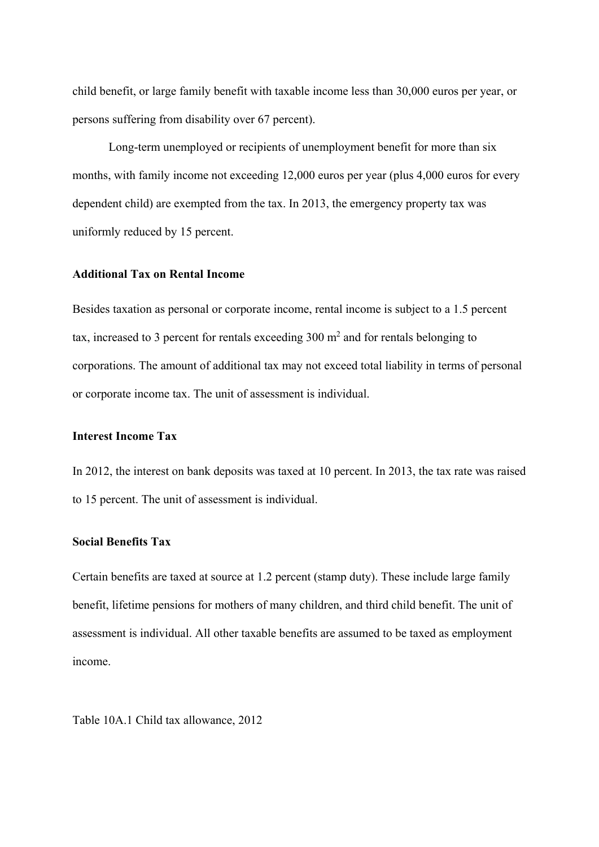child benefit, or large family benefit with taxable income less than 30,000 euros per year, or persons suffering from disability over 67 percent).

Long-term unemployed or recipients of unemployment benefit for more than six months, with family income not exceeding 12,000 euros per year (plus 4,000 euros for every dependent child) are exempted from the tax. In 2013, the emergency property tax was uniformly reduced by 15 percent.

## **Additional Tax on Rental Income**

Besides taxation as personal or corporate income, rental income is subject to a 1.5 percent tax, increased to 3 percent for rentals exceeding  $300 \text{ m}^2$  and for rentals belonging to corporations. The amount of additional tax may not exceed total liability in terms of personal or corporate income tax. The unit of assessment is individual.

## **Interest Income Tax**

In 2012, the interest on bank deposits was taxed at 10 percent. In 2013, the tax rate was raised to 15 percent. The unit of assessment is individual.

#### **Social Benefits Tax**

Certain benefits are taxed at source at 1.2 percent (stamp duty). These include large family benefit, lifetime pensions for mothers of many children, and third child benefit. The unit of assessment is individual. All other taxable benefits are assumed to be taxed as employment income.

Table 10A.1 Child tax allowance, 2012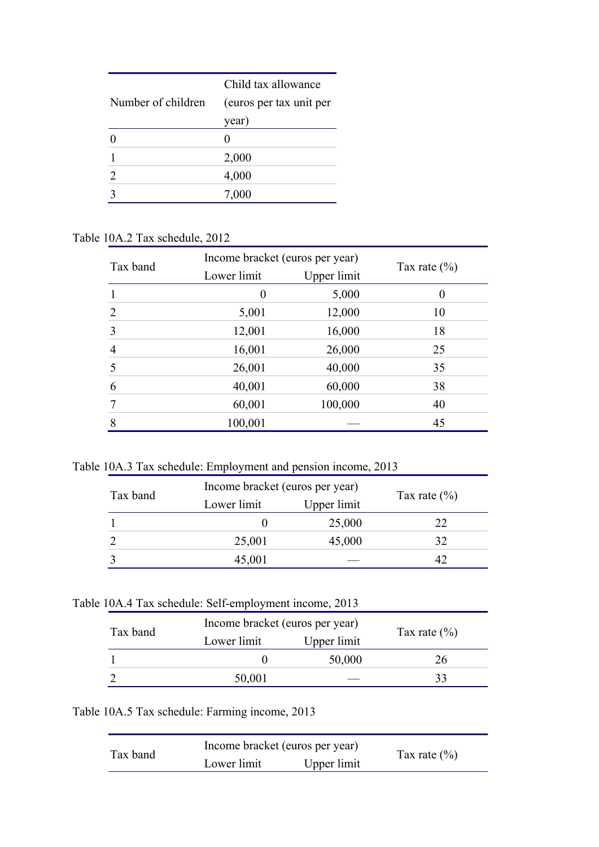|                    | Child tax allowance     |  |
|--------------------|-------------------------|--|
| Number of children | (euros per tax unit per |  |
|                    | year)                   |  |
|                    |                         |  |
|                    | 2,000                   |  |
| 2                  | 4,000                   |  |
|                    | 7,000                   |  |

## Table 10A.2 Tax schedule, 2012

| Tax band       | Income bracket (euros per year) |             |                  |
|----------------|---------------------------------|-------------|------------------|
|                | Lower limit                     | Upper limit | Tax rate $(\% )$ |
|                | $\theta$                        | 5,000       | $\theta$         |
| $\overline{2}$ | 5,001                           | 12,000      | 10               |
| 3              | 12,001                          | 16,000      | 18               |
| 4              | 16,001                          | 26,000      | 25               |
| 5              | 26,001                          | 40,000      | 35               |
| 6              | 40,001                          | 60,000      | 38               |
|                | 60,001                          | 100,000     | 40               |
| 8              | 100,001                         |             | 45               |

Table 10A.3 Tax schedule: Employment and pension income, 2013

| Tax band |             | Income bracket (euros per year) |                  |
|----------|-------------|---------------------------------|------------------|
|          | Lower limit | Upper limit                     | Tax rate $(\% )$ |
|          |             | 25,000                          |                  |
|          | 25,001      | 45,000                          | 32               |
|          | 45,001      |                                 |                  |

| Tax band | Income bracket (euros per year) |             |                  |
|----------|---------------------------------|-------------|------------------|
|          | Lower limit                     | Upper limit | Tax rate $(\% )$ |
|          |                                 | 50,000      | 26               |
|          | 50,001                          |             |                  |

Table 10A.5 Tax schedule: Farming income, 2013

| Tax band | Income bracket (euros per year) |             | Tax rate $(\% )$ |
|----------|---------------------------------|-------------|------------------|
|          | Lower limit                     | Upper limit |                  |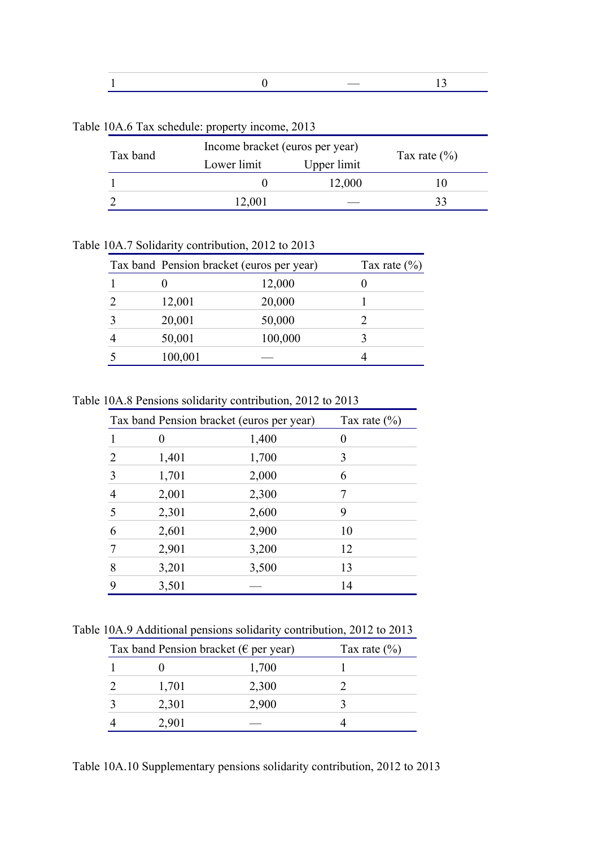Table 10A.6 Tax schedule: property income, 2013

| Tax band | Income bracket (euros per year) |             |                  |
|----------|---------------------------------|-------------|------------------|
|          | Lower limit                     | Upper limit | Tax rate $(\% )$ |
|          |                                 | 12,000      |                  |
|          | 12,001                          |             |                  |
|          |                                 |             |                  |

Table 10A.7 Solidarity contribution, 2012 to 2013

| Tax band Pension bracket (euros per year) |         | Tax rate $(\% )$ |
|-------------------------------------------|---------|------------------|
|                                           | 12,000  |                  |
| 12,001                                    | 20,000  |                  |
| 20,001                                    | 50,000  |                  |
| 50,001                                    | 100,000 |                  |
| 100,001                                   |         |                  |

Table 10A.8 Pensions solidarity contribution, 2012 to 2013

|   | Tax band Pension bracket (euros per year) |       | Tax rate $(\% )$ |
|---|-------------------------------------------|-------|------------------|
|   | $\mathbf{\Omega}$                         | 1,400 | $\theta$         |
|   | 1,401                                     | 1,700 | 3                |
| 3 | 1,701                                     | 2,000 | 6                |
| 4 | 2,001                                     | 2,300 | 7                |
| 5 | 2,301                                     | 2,600 | 9                |
| 6 | 2,601                                     | 2,900 | 10               |
|   | 2,901                                     | 3,200 | 12               |
| 8 | 3,201                                     | 3,500 | 13               |
| 9 | 3,501                                     |       | 14               |

Table 10A.9 Additional pensions solidarity contribution, 2012 to 2013

| Tax band Pension bracket ( $\epsilon$ per year) |       | Tax rate $(\% )$ |
|-------------------------------------------------|-------|------------------|
|                                                 | 1,700 |                  |
| 1,701                                           | 2,300 |                  |
| 2,301                                           | 2,900 |                  |
| 2,901                                           |       |                  |

Table 10A.10 Supplementary pensions solidarity contribution, 2012 to 2013